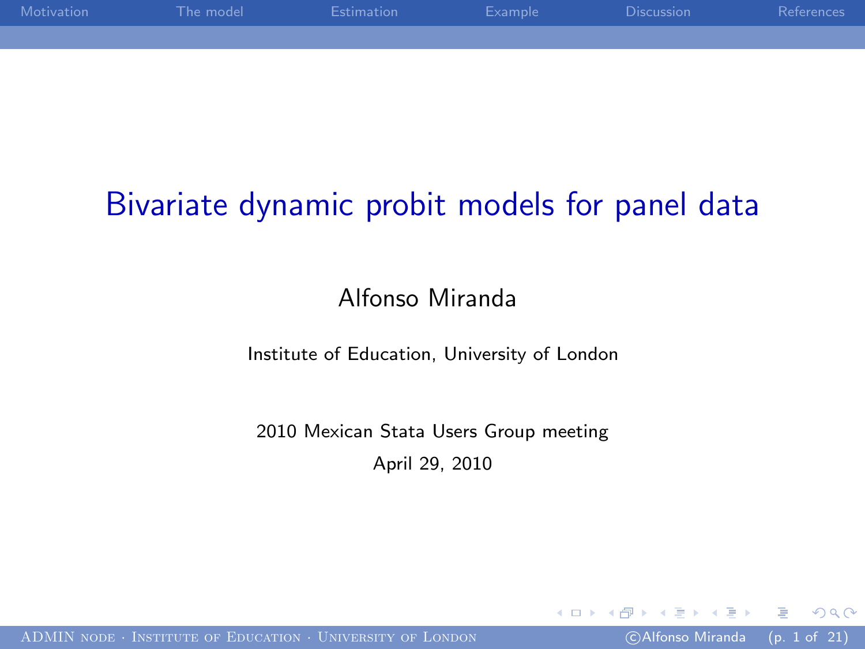| Motivation | The model | Estimation | – Example – | <b>Discussion</b> | References |
|------------|-----------|------------|-------------|-------------------|------------|
|            |           |            |             |                   |            |
|            |           |            |             |                   |            |

# Bivariate dynamic probit models for panel data

#### Alfonso Miranda

#### Institute of Education, University of London

#### 2010 Mexican Stata Users Group meeting April 29, 2010

つくへ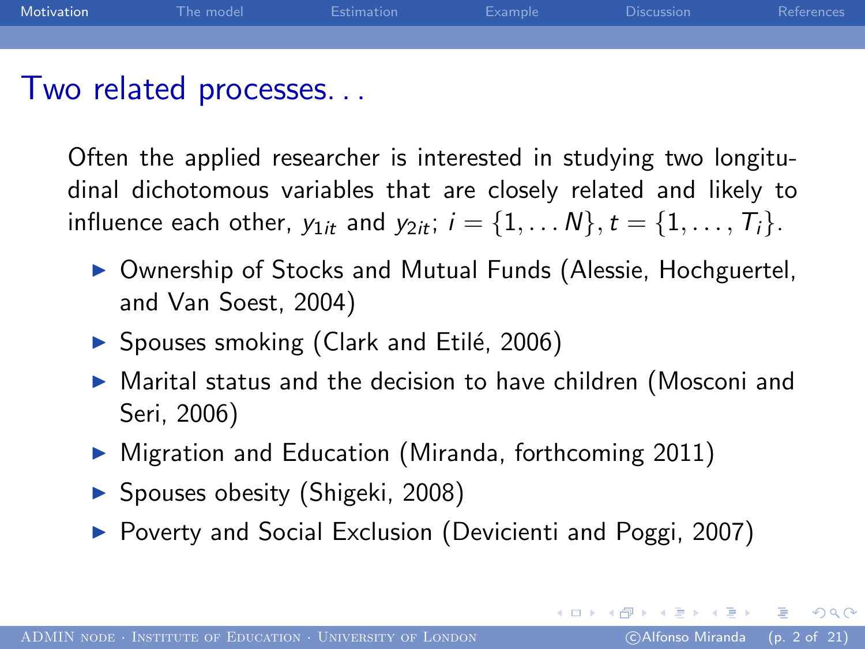

Often the applied researcher is interested in studying two longitudinal dichotomous variables that are closely related and likely to influence each other,  $y_{1it}$  and  $y_{2it}$ ;  $i = \{1, ..., N\}, t = \{1, ..., T_i\}.$ 

- ▶ Ownership of Stocks and Mutual Funds (Alessie, Hochguertel, and Van Soest, 2004)
- $\triangleright$  Spouses smoking (Clark and Etilé, 2006)
- $\triangleright$  Marital status and the decision to have children (Mosconi and Seri, 2006)
- $\triangleright$  Migration and Education (Miranda, forthcoming 2011)
- ▶ Spouses obesity (Shigeki, 2008)
- ▶ Poverty and Social Exclusion (Devicienti and Poggi, 2007)

<span id="page-1-0"></span> $200$ 

イロメ イ母メ イヨメ イヨメート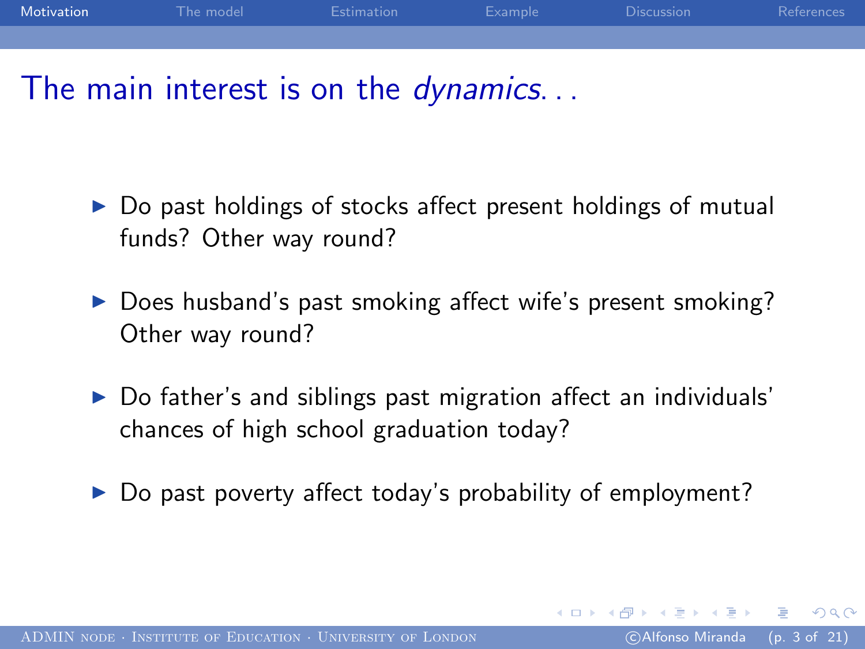

### The main interest is on the *dynamics*...

- ▶ Do past holdings of stocks affect present holdings of mutual funds? Other way round?
- ▶ Does husband's past smoking affect wife's present smoking? Other way round?
- $\triangleright$  Do father's and siblings past migration affect an individuals' chances of high school graduation today?
- Do past poverty affect today's probability of employment?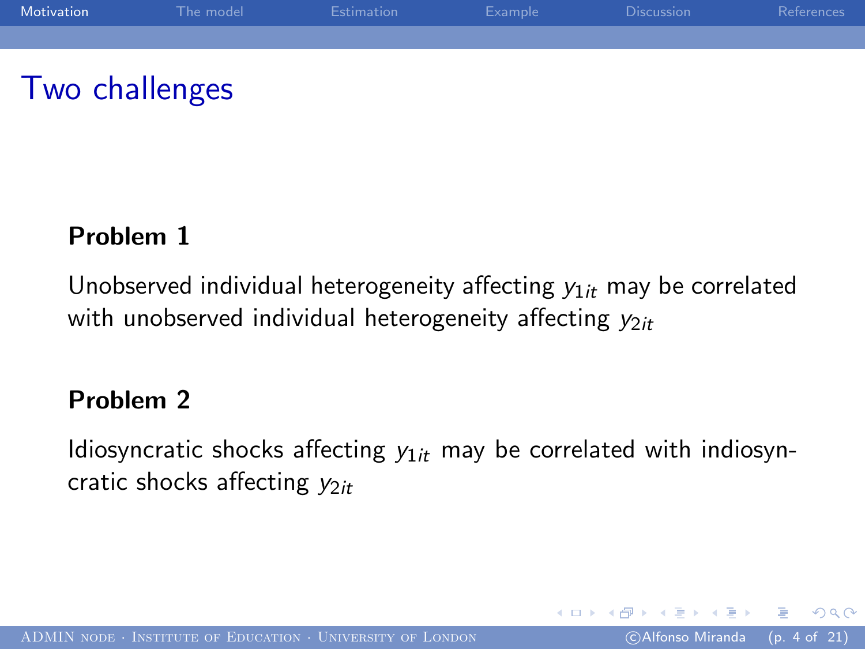

## Two challenges

#### Problem 1

Unobserved individual heterogeneity affecting  $y_{1it}$  may be correlated with unobserved individual heterogeneity affecting  $y_{2it}$ 

#### Problem 2

Idiosyncratic shocks affecting  $y_{1it}$  may be correlated with indiosyncratic shocks affecting  $y_{2it}$ 

つくへ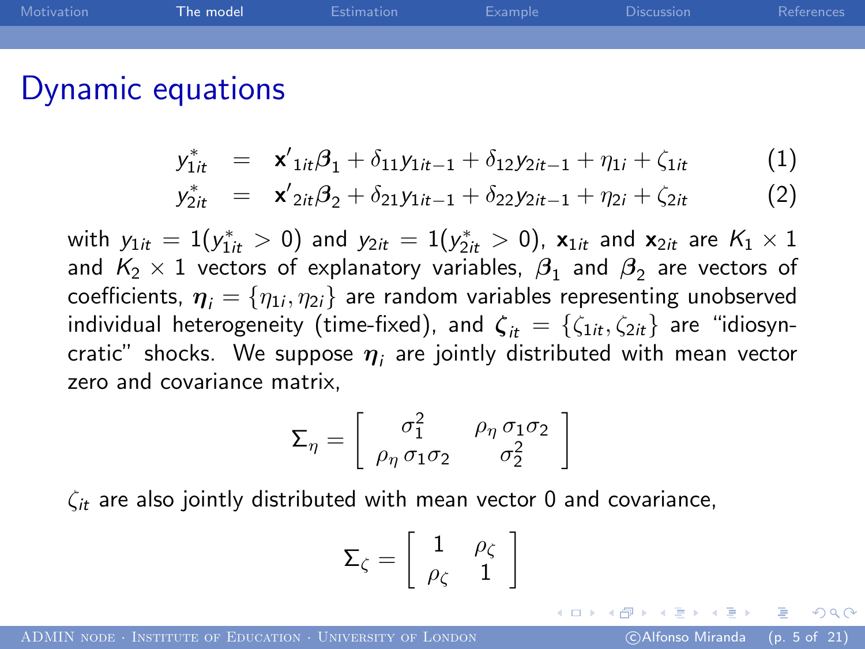| Motivation | The model | Estimation | Example | <b>Discussion</b> | References |
|------------|-----------|------------|---------|-------------------|------------|
|            |           |            |         |                   |            |
|            |           |            |         |                   |            |

### Dynamic equations

$$
y_{1it}^* = \mathbf{x}'_{1it}\boldsymbol{\beta}_1 + \delta_{11}y_{1it-1} + \delta_{12}y_{2it-1} + \eta_{1i} + \zeta_{1it} \tag{1}
$$

$$
y_{2it}^* = \mathbf{x}'_{2it}\boldsymbol{\beta}_2 + \delta_{21}y_{1it-1} + \delta_{22}y_{2it-1} + \eta_{2i} + \zeta_{2it}
$$
 (2)

with  $y_{1it} = 1(y_{1it}^*>0)$  and  $y_{2it} = 1(y_{2it}^*>0)$ ,  $\mathbf{x}_{1it}$  and  $\mathbf{x}_{2it}$  are  $K_1 \times 1$ and  $\mathsf{K}_2\times 1$  vectors of explanatory variables,  $\beta_1$  and  $\beta_2$  are vectors of coefficients,  $\boldsymbol{\eta}_i=\{\eta_{1i},\eta_{2i}\}$  are random variables representing unobserved individual heterogeneity (time-fixed), and  $\zeta_{it} = \{\zeta_{1it}, \zeta_{2it}\}\$ are "idiosyncratic" shocks. We suppose  $\boldsymbol{\eta}_i$  are jointly distributed with mean vector zero and covariance matrix,

$$
\Sigma_{\eta} = \left[ \begin{array}{cc} \sigma_1^2 & \rho_{\eta} \sigma_1 \sigma_2 \\ \rho_{\eta} \sigma_1 \sigma_2 & \sigma_2^2 \end{array} \right]
$$

 $\zeta_{it}$  are also jointly distributed with mean vector 0 and covariance,

<span id="page-4-0"></span>
$$
\mathsf{\Sigma}_{\zeta}=\left[\begin{array}{cc} 1 & \rho_{\zeta} \\ \rho_{\zeta} & 1 \end{array}\right]
$$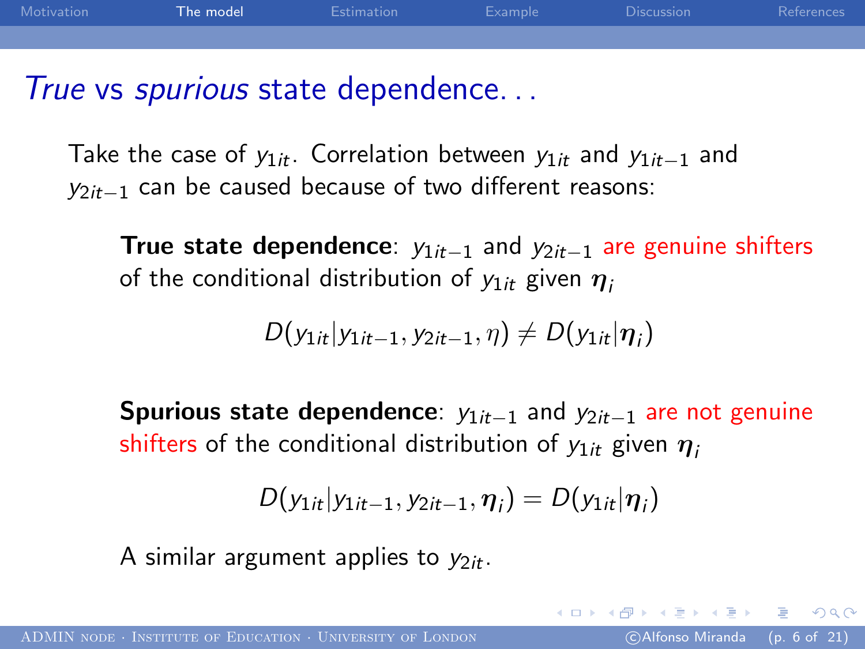| Motivation | The model | Estimation | Example | <b>Discussion</b> | References |
|------------|-----------|------------|---------|-------------------|------------|
|            |           |            |         |                   |            |
|            |           |            |         |                   |            |

True vs *spurious* state dependence...

Take the case of  $y_{1it}$ . Correlation between  $y_{1it}$  and  $y_{1it-1}$  and  $y_{2it-1}$  can be caused because of two different reasons:

True state dependence:  $y_{1it-1}$  and  $y_{2it-1}$  are genuine shifters of the conditional distribution of  $y_{1it}$  given  $\eta_i$ 

$$
D(y_{1it}|y_{1it-1},y_{2it-1},\eta) \neq D(y_{1it}|\eta_i)
$$

Spurious state dependence:  $y_{1it-1}$  and  $y_{2it-1}$  are not genuine shifters of the conditional distribution of  $y_{1it}$  given  $\eta_i$ 

$$
D(y_{1it}|y_{1it-1},y_{2it-1},\eta_i)=D(y_{1it}|\eta_i)
$$

A similar argument applies to  $y_{2it}$ .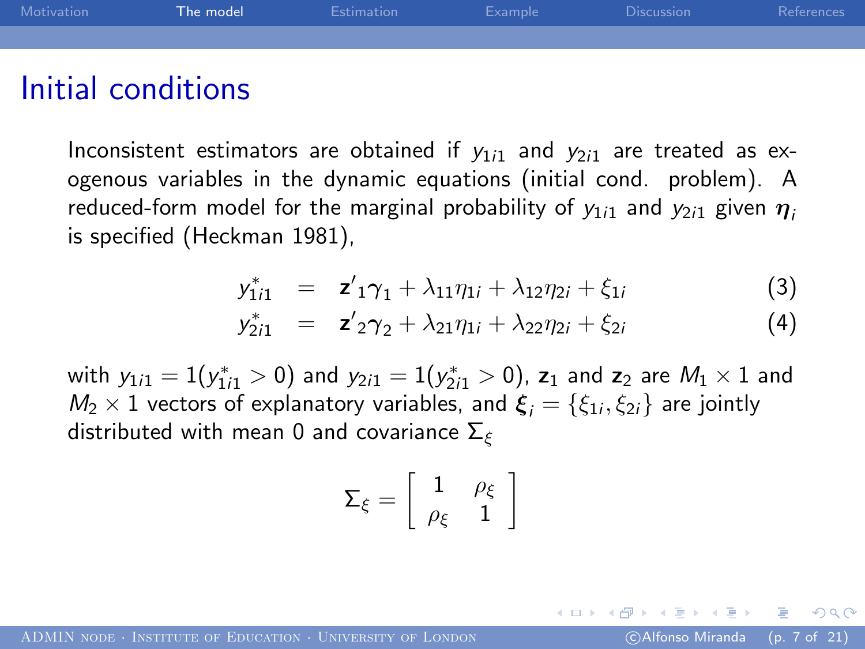| Motivation | The model | Estimation | Example | <b>Discussion</b> | References |
|------------|-----------|------------|---------|-------------------|------------|
|            |           |            |         |                   |            |
|            |           |            |         |                   |            |

### Initial conditions

Inconsistent estimators are obtained if  $y_{1i1}$  and  $y_{2i1}$  are treated as exogenous variables in the dynamic equations (initial cond. problem). A reduced-form model for the marginal probability of  $y_{1i1}$  and  $y_{2i1}$  given  $\eta_i$ is specified (Heckman 1981),

$$
y_{1i1}^* = z_{1}'\gamma_1 + \lambda_{11}\eta_{1i} + \lambda_{12}\eta_{2i} + \xi_{1i}
$$
 (3)

$$
y_{2i1}^* = z_{2}\gamma_2 + \lambda_{21}\eta_{1i} + \lambda_{22}\eta_{2i} + \xi_{2i}
$$
 (4)

with  $y_{1i1} = 1(y_{1i1}^* > 0)$  and  $y_{2i1} = 1(y_{2i1}^* > 0)$ ,  $\mathsf{z}_1$  and  $\mathsf{z}_2$  are  $M_1 \times 1$  and  $M_2 \times 1$  vectors of explanatory variables, and  $\boldsymbol{\xi}_i = \{\xi_{1i}, \xi_{2i}\}$  are jointly distributed with mean 0 and covariance  $\Sigma_{\varepsilon}$ 

$$
\Sigma_\xi = \left[ \begin{array}{cc} 1 & \rho_\xi \\ \rho_\xi & 1 \end{array} \right]
$$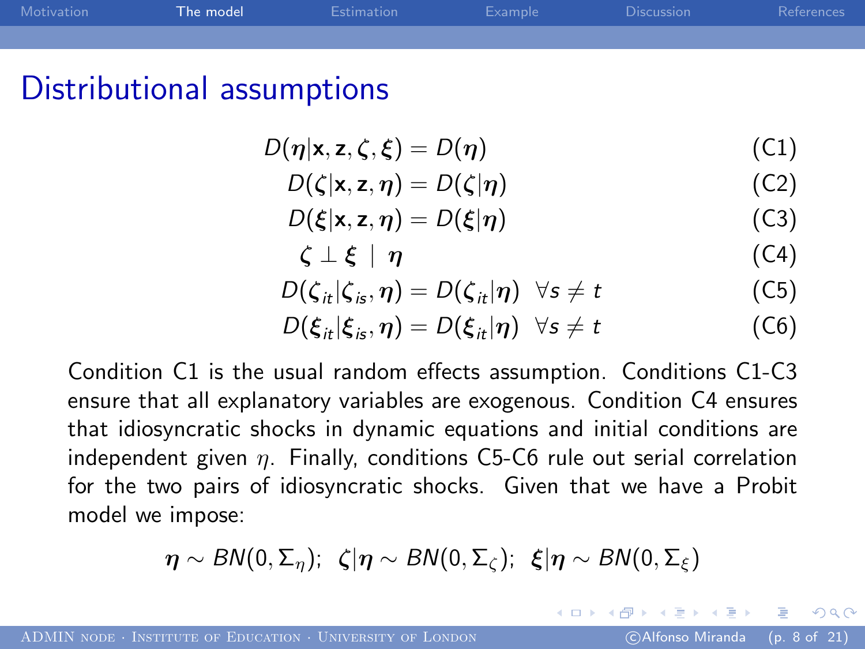| Motivation | The model | Estimation | Example | <b>Discussion</b> | References |
|------------|-----------|------------|---------|-------------------|------------|
|            |           |            |         |                   |            |
|            |           |            |         |                   |            |

### Distributional assumptions

$$
D(\eta|\mathbf{x}, \mathbf{z}, \zeta, \xi) = D(\eta) \tag{C1}
$$

$$
D(\zeta|\mathbf{x}, \mathbf{z}, \boldsymbol{\eta}) = D(\zeta|\boldsymbol{\eta})
$$
 (C2)

$$
D(\xi|\mathbf{x}, \mathbf{z}, \boldsymbol{\eta}) = D(\xi|\boldsymbol{\eta})
$$
 (C3)

$$
\zeta \perp \xi \mid \eta \tag{C4}
$$

$$
D(\zeta_{it}|\zeta_{is},\eta)=D(\zeta_{it}|\eta) \ \ \forall s\neq t \tag{C5}
$$

$$
D(\xi_{it}|\xi_{is},\eta) = D(\xi_{it}|\eta) \quad \forall s \neq t \tag{C6}
$$

Condition C1 is the usual random effects assumption. Conditions C1-C3 ensure that all explanatory variables are exogenous. Condition C4 ensures that idiosyncratic shocks in dynamic equations and initial conditions are independent given  $\eta$ . Finally, conditions C5-C6 rule out serial correlation for the two pairs of idiosyncratic shocks. Given that we have a Probit model we impose:

 $\eta \sim BN(0, \Sigma_n)$ ;  $\zeta|\eta \sim BN(0, \Sigma_c)$ ;  $\xi|\eta \sim BN(0, \Sigma_s)$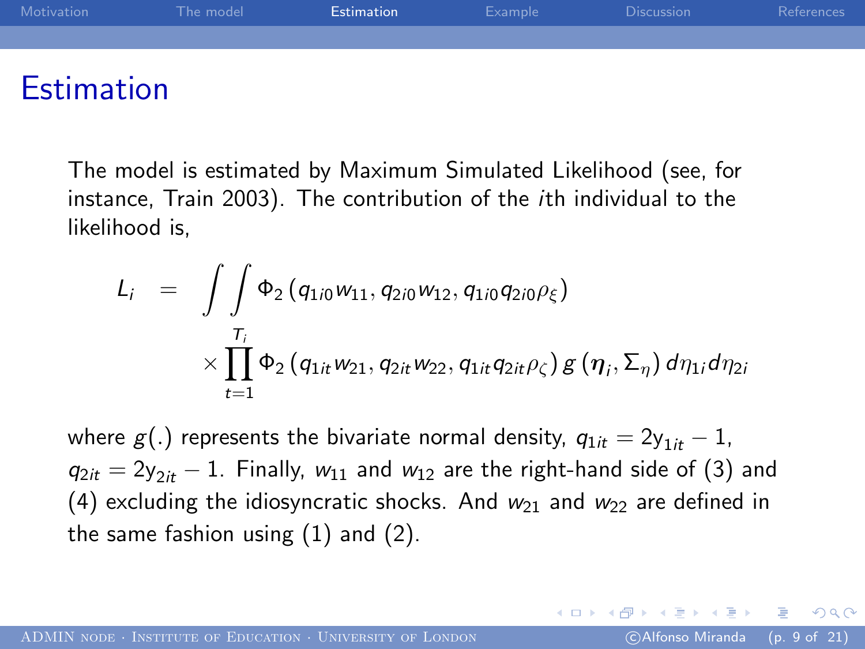| Motivation        | The model | Estimation | Example | <b>Discussion</b> | References |
|-------------------|-----------|------------|---------|-------------------|------------|
|                   |           |            |         |                   |            |
|                   |           |            |         |                   |            |
| <b>Estimation</b> |           |            |         |                   |            |

The model is estimated by Maximum Simulated Likelihood (see, for instance, Train 2003). The contribution of the ith individual to the likelihood is,

$$
L_{i} = \int\int \Phi_{2}(q_{1i0}w_{11}, q_{2i0}w_{12}, q_{1i0}q_{2i0}\rho_{\xi})
$$
  
 
$$
\times \prod_{t=1}^{T_{i}} \Phi_{2}(q_{1it}w_{21}, q_{2it}w_{22}, q_{1it}q_{2it}\rho_{\zeta}) g(\eta_{i}, \Sigma_{\eta}) d\eta_{1i} d\eta_{2i}
$$

<span id="page-8-0"></span>where  $g(.)$  represents the bivariate normal density,  $q_{1it} = 2y_{1it} - 1$ ,  $q_{2it} = 2y_{2it} - 1$ . Finally,  $w_{11}$  and  $w_{12}$  are the right-hand side of (3) and (4) excluding the idiosyncratic shocks. And  $w_{21}$  and  $w_{22}$  are defined in the same fashion using (1) and (2).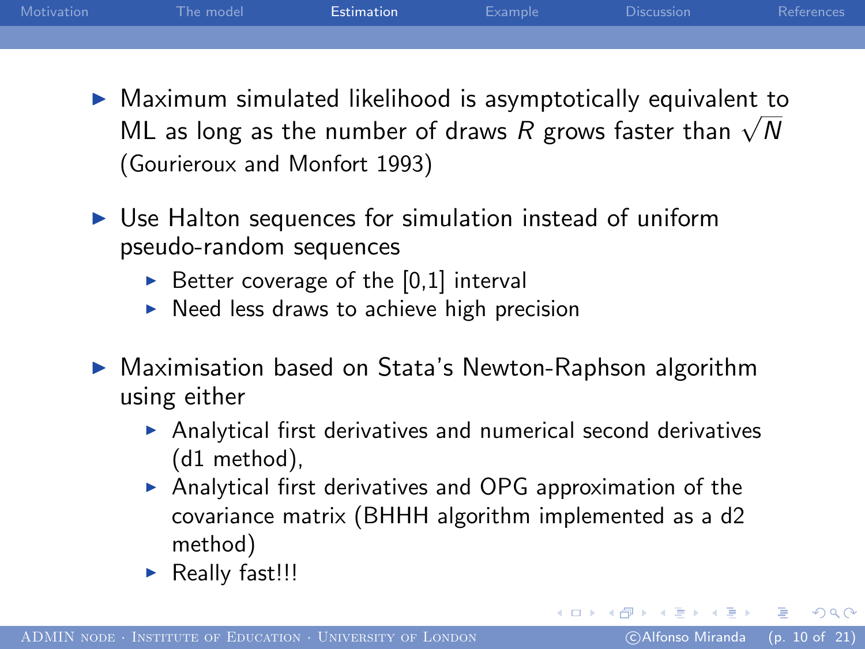| Motivation | The model | Estimation | Example | <b>Discussion</b> | References |
|------------|-----------|------------|---------|-------------------|------------|
|            |           |            |         |                   |            |

- $\triangleright$  Maximum simulated likelihood is asymptotically equivalent to Maximum simulated intermodd is asymptotically equivalent to ML as long as the number of draws R grows faster than  $\sqrt{N}$ (Gourieroux and Monfort 1993)
- $\triangleright$  Use Halton sequences for simulation instead of uniform pseudo-random sequences
	- $\triangleright$  Better coverage of the [0,1] interval
	- $\triangleright$  Need less draws to achieve high precision
- ▶ Maximisation based on Stata's Newton-Raphson algorithm using either
	- $\triangleright$  Analytical first derivatives and numerical second derivatives (d1 method),
	- $\triangleright$  Analytical first derivatives and OPG approximation of the covariance matrix (BHHH algorithm implemented as a d2 method)
	- $\blacktriangleright$  Really fast!!!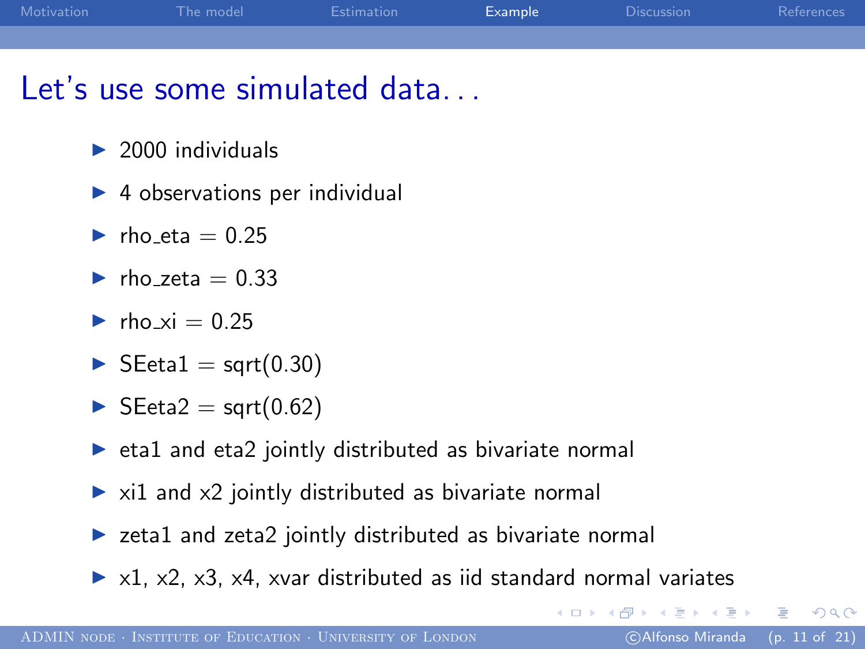| Motivation | The model | Estimation | Example | Discussion | References |
|------------|-----------|------------|---------|------------|------------|
|            |           |            |         |            |            |
|            |           |            |         |            |            |

## Let's use some simulated data...

- $\triangleright$  2000 individuals
- $\triangleright$  4 observations per individual
- $\blacktriangleright$  rho eta = 0.25
- $\blacktriangleright$  rho zeta = 0.33
- $\blacktriangleright$  rho xi = 0.25
- $\blacktriangleright$  SEeta1 = sqrt(0.30)
- $\blacktriangleright$  SEeta2 = sqrt(0.62)
- $\triangleright$  eta1 and eta2 jointly distributed as bivariate normal
- $\triangleright$  xi1 and x2 jointly distributed as bivariate normal
- $\triangleright$  zeta1 and zeta2 jointly distributed as bivariate normal
- $\triangleright$  x1, x2, x3, x4, xvar distributed as iid standard normal variates

<span id="page-10-0"></span> $200$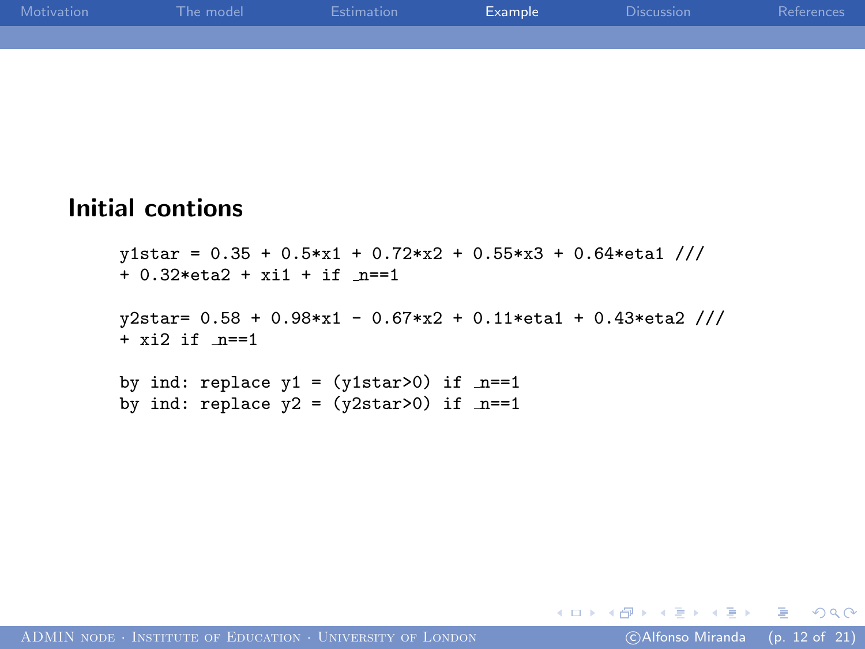| <b>Motivation</b> | The model | Estimation | Example | Discussion | References |
|-------------------|-----------|------------|---------|------------|------------|
|                   |           |            |         |            |            |
|                   |           |            |         |            |            |

#### Initial contions

```
y1star = 0.35 + 0.5*x1 + 0.72*x2 + 0.55*x3 + 0.64*eta 1//
+ 0.32*eta2 + xi1 + if n==1
y2star= 0.58 + 0.98*x1 - 0.67*x2 + 0.11*eta1 + 0.43*eta2 ///
+ x i 2 i f n==1
by ind: replace y1 = (y1star>0) if _n == 1by ind: replace y2 = (y2star>0) if _n == 1
```
and the first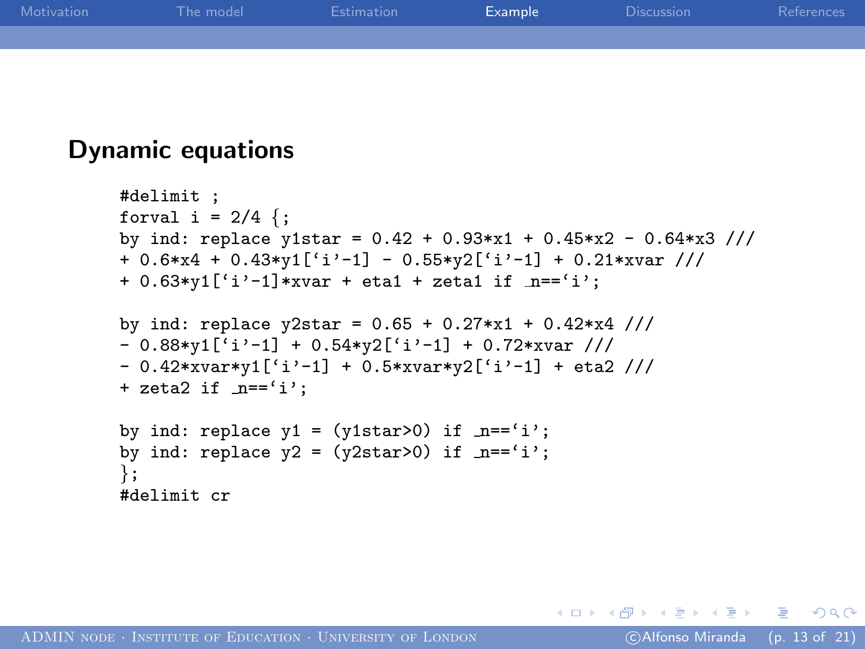| <b>Motivation</b> | The model | Estimation | Example | Discussion | References |
|-------------------|-----------|------------|---------|------------|------------|
|                   |           |            |         |            |            |
|                   |           |            |         |            |            |

#### Dynamic equations

```
#delimit ;
forval i = 2/4 {;
by ind: replace y1star = 0.42 + 0.93*x1 + 0.45*x2 - 0.64*x3 ///
+ 0.6*x4 + 0.43*y1['i'-1] - 0.55*y2['i'-1] + 0.21*xvar ///
+ 0.63*y1['i'-1]*xvar + eta1 + zeta1 if n=='i';by ind: replace y2star = 0.65 + 0.27*x1 + 0.42*x4 ///
-0.88*y1[<sup>[i</sup> i'-1] + 0.54*v2[' i'-1] + 0.72*xvar ///
- 0.42* xvar*y1['i'-1] + 0.5* xvar*y2['i'-1] + eta2 ///
+ zeta2 if n == 'i;
by ind: replace y1 = (y1star>0) if _n = 'i';by ind: replace y2 = (y2star>0) if n=='i;
};
#delimit cr
```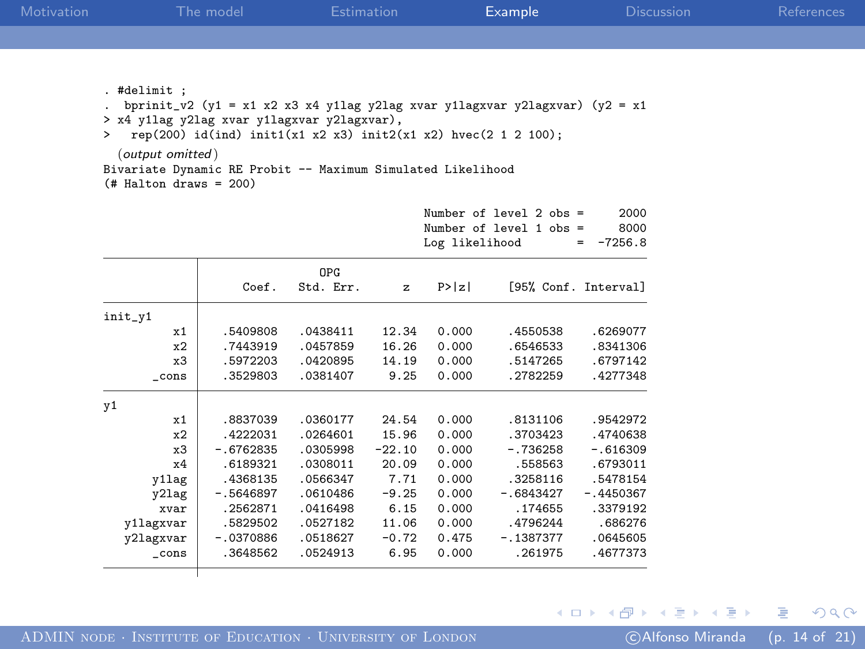| Motivation |                                                                                                                                                                                     | The model                                                                                                                                     |                                                                                                                      | Estimation                                                                                 |                                                                                        | Example                                                                                                                   |                                                                                                                          | <b>Discussion</b> | References |
|------------|-------------------------------------------------------------------------------------------------------------------------------------------------------------------------------------|-----------------------------------------------------------------------------------------------------------------------------------------------|----------------------------------------------------------------------------------------------------------------------|--------------------------------------------------------------------------------------------|----------------------------------------------------------------------------------------|---------------------------------------------------------------------------------------------------------------------------|--------------------------------------------------------------------------------------------------------------------------|-------------------|------------|
|            |                                                                                                                                                                                     |                                                                                                                                               |                                                                                                                      |                                                                                            |                                                                                        |                                                                                                                           |                                                                                                                          |                   |            |
|            | . #delimit ;<br>> x4 y1lag y2lag xvar y1lagxvar y2lagxvar),<br>$\geq$<br>(output omitted)<br>Bivariate Dynamic RE Probit -- Maximum Simulated Likelihood<br>$#$ Halton draws = 200) | bprinit_v2 (y1 = x1 x2 x3 x4 y1lag y2lag xvar y1lagxvar y2lagxvar) (y2 = x1<br>rep(200) id(ind) init1(x1 x2 x3) init2(x1 x2) hvec(2 1 2 100); |                                                                                                                      |                                                                                            |                                                                                        |                                                                                                                           |                                                                                                                          |                   |            |
|            |                                                                                                                                                                                     |                                                                                                                                               |                                                                                                                      |                                                                                            | Log likelihood                                                                         | Number of level 2 $obs =$<br>Number of level $1$ obs =                                                                    | 2000<br>8000<br>$= -7256.8$                                                                                              |                   |            |
|            |                                                                                                                                                                                     | Coef.                                                                                                                                         | OPG<br>Std. Err.                                                                                                     | $\mathbf{z}$                                                                               | P >  z                                                                                 |                                                                                                                           | [95% Conf. Interval]                                                                                                     |                   |            |
|            | init_v1<br>x1<br>x2<br>x3<br>$_{\rm -cons}$                                                                                                                                         | .5409808<br>.7443919<br>.5972203<br>.3529803                                                                                                  | .0438411<br>.0457859<br>.0420895<br>.0381407                                                                         | 12.34<br>16.26<br>14.19<br>9.25                                                            | 0.000<br>0.000<br>0.000<br>0.000                                                       | .4550538<br>.6546533<br>.5147265<br>.2782259                                                                              | .6269077<br>.8341306<br>.6797142<br>.4277348                                                                             |                   |            |
|            | y1<br>x1<br>x2<br>x3<br>x4<br>y1lag<br>y21ag<br>xvar<br>v1lagxvar<br>y2lagxvar<br>$_{\rm -cons}$                                                                                    | .8837039<br>.4222031<br>$-.6762835$<br>.6189321<br>.4368135<br>$-.5646897$<br>.2562871<br>.5829502<br>$-.0370886$<br>.3648562                 | .0360177<br>.0264601<br>.0305998<br>.0308011<br>.0566347<br>.0610486<br>.0416498<br>.0527182<br>.0518627<br>.0524913 | 24.54<br>15.96<br>$-22.10$<br>20.09<br>7.71<br>$-9.25$<br>6.15<br>11.06<br>$-0.72$<br>6.95 | 0.000<br>0.000<br>0.000<br>0.000<br>0.000<br>0.000<br>0.000<br>0.000<br>0.475<br>0.000 | .8131106<br>.3703423<br>$-.736258$<br>.558563<br>.3258116<br>$-.6843427$<br>.174655<br>.4796244<br>$-.1387377$<br>.261975 | .9542972<br>.4740638<br>$-.616309$<br>.6793011<br>.5478154<br>$-.4450367$<br>.3379192<br>.686276<br>.0645605<br>.4677373 |                   |            |
|            |                                                                                                                                                                                     |                                                                                                                                               |                                                                                                                      |                                                                                            |                                                                                        |                                                                                                                           |                                                                                                                          | メロメ メ御き メミチ メミメ   | 目<br>つくい   |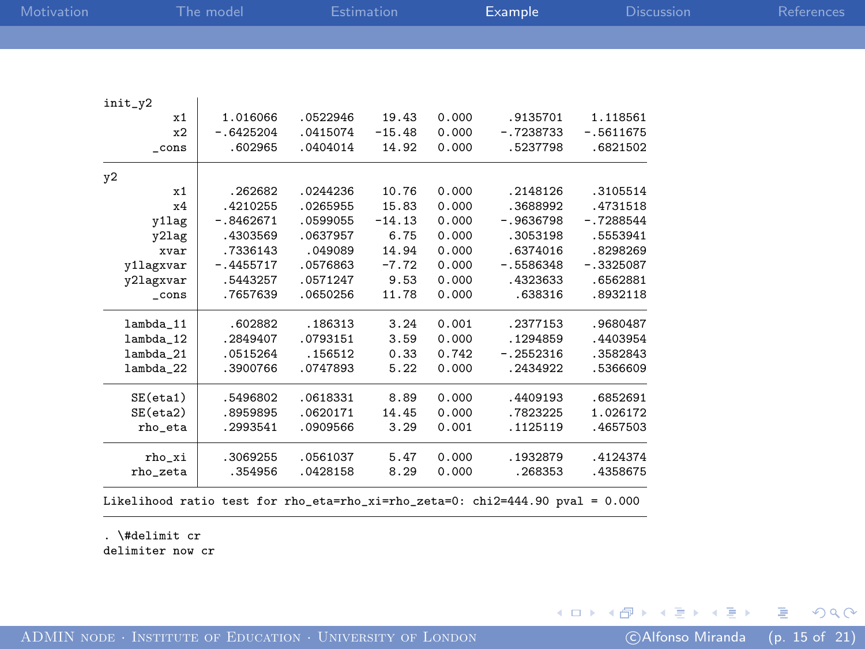| Motivation |                   | The model   |          | Estimation |       | Example     | <b>Discussion</b> | References |
|------------|-------------------|-------------|----------|------------|-------|-------------|-------------------|------------|
|            |                   |             |          |            |       |             |                   |            |
|            |                   |             |          |            |       |             |                   |            |
|            |                   |             |          |            |       |             |                   |            |
|            | init_y2           |             |          |            |       |             |                   |            |
|            | x1                | 1.016066    | .0522946 | 19.43      | 0.000 | .9135701    | 1.118561          |            |
|            | x2                | $-.6425204$ | .0415074 | $-15.48$   | 0.000 | $-.7238733$ | $-.5611675$       |            |
|            | $_{\rm -cons}$    | .602965     | .0404014 | 14.92      | 0.000 | .5237798    | .6821502          |            |
|            |                   |             |          |            |       |             |                   |            |
|            | y2                |             |          |            |       |             |                   |            |
|            | x1                | .262682     | .0244236 | 10.76      | 0.000 | .2148126    | .3105514          |            |
|            | x4                | .4210255    | .0265955 | 15.83      | 0.000 | .3688992    | .4731518          |            |
|            | y1lag             | $-.8462671$ | .0599055 | $-14.13$   | 0.000 | $-.9636798$ | $-.7288544$       |            |
|            | y21ag             | .4303569    | .0637957 | 6.75       | 0.000 | .3053198    | .5553941          |            |
|            | xvar              | .7336143    | .049089  | 14.94      | 0.000 | .6374016    | .8298269          |            |
|            | y1lagxvar         | $-.4455717$ | .0576863 | $-7.72$    | 0.000 | $-.5586348$ | $-.3325087$       |            |
|            | y2lagxvar         | .5443257    | .0571247 | 9.53       | 0.000 | .4323633    | .6562881          |            |
|            | _cons             | .7657639    | .0650256 | 11.78      | 0.000 | .638316     | .8932118          |            |
|            |                   |             |          |            |       |             |                   |            |
|            | lambda_11         | .602882     | .186313  | 3.24       | 0.001 | .2377153    | .9680487          |            |
|            | lambda_12         | .2849407    | .0793151 | 3.59       | 0.000 | .1294859    | .4403954          |            |
|            | lambda_21         | .0515264    | .156512  | 0.33       | 0.742 | $-.2552316$ | .3582843          |            |
|            | lambda_22         | .3900766    | .0747893 | 5.22       | 0.000 | .2434922    | .5366609          |            |
|            | $SE(\text{eta1})$ | .5496802    | .0618331 | 8.89       | 0.000 | .4409193    | .6852691          |            |
|            | $SE(\text{eta2})$ | .8959895    | .0620171 | 14.45      | 0.000 | .7823225    | 1.026172          |            |
|            | rho_eta           | .2993541    | .0909566 | 3.29       | 0.001 | .1125119    | .4657503          |            |
|            | rho_xi            | .3069255    | .0561037 | 5.47       | 0.000 | .1932879    | .4124374          |            |
|            | rho_zeta          | .354956     | .0428158 | 8.29       | 0.000 | .268353     | .4358675          |            |
|            |                   |             |          |            |       |             |                   |            |

Likelihood ratio test for rho\_eta=rho\_xi=rho\_zeta=0: chi2=444.90 pval = 0.000

. \#delimit cr delimiter now cr

 $299$ 

メロメ メタメ メミメ メミメン 毛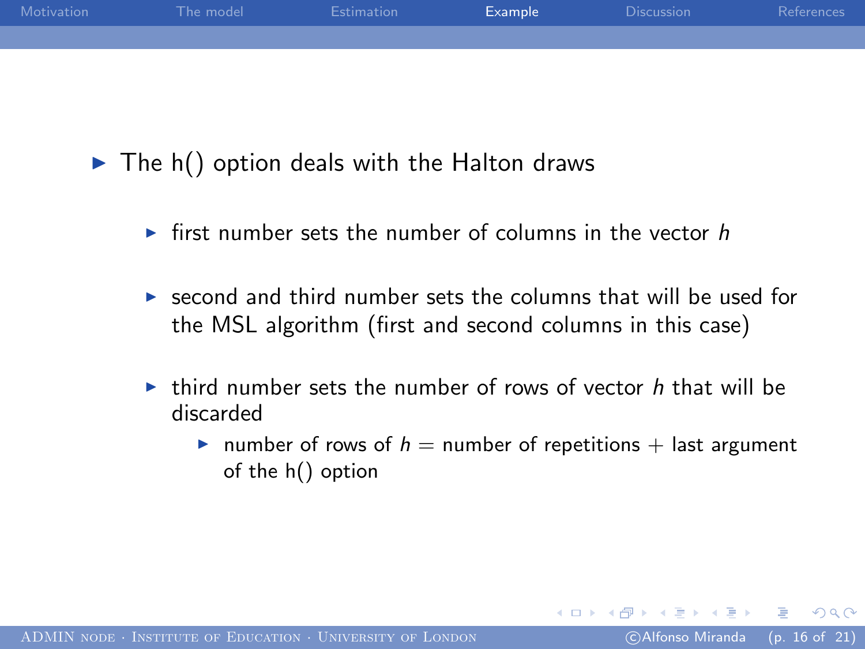| Motivation | The model | Estimation | Example | Discussion | References |
|------------|-----------|------------|---------|------------|------------|
|            |           |            |         |            |            |
|            |           |            |         |            |            |

 $\blacktriangleright$  The h() option deals with the Halton draws

- If first number sets the number of columns in the vector  $h$
- $\triangleright$  second and third number sets the columns that will be used for the MSL algorithm (first and second columns in this case)
- In third number sets the number of rows of vector h that will be discarded
	- In number of rows of  $h =$  number of repetitions  $+$  last argument of the h() option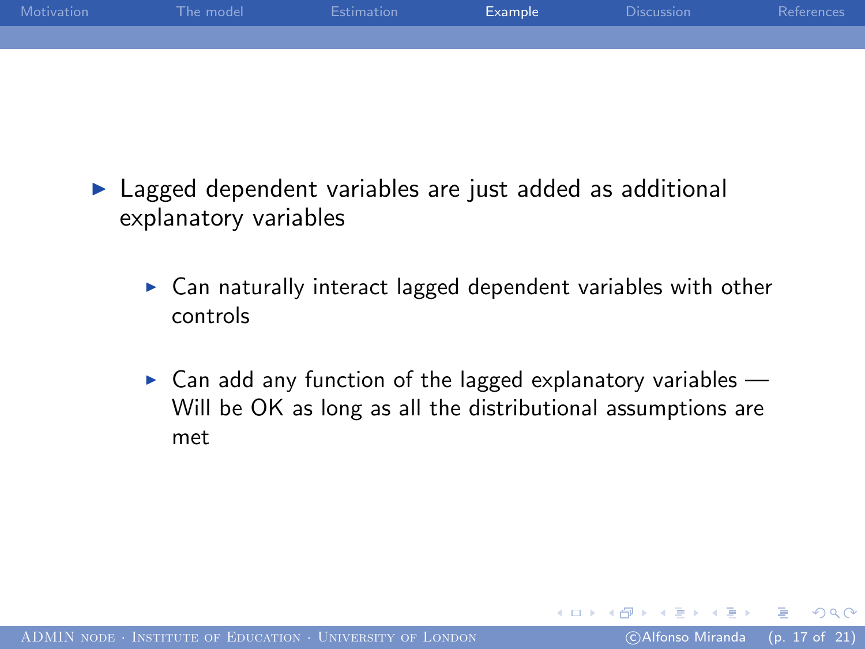| Motivation | The model | Estimation | Example | <b>Discussion</b> | References |
|------------|-----------|------------|---------|-------------------|------------|
|            |           |            |         |                   |            |
|            |           |            |         |                   |            |

- $\blacktriangleright$  Lagged dependent variables are just added as additional explanatory variables
	- $\triangleright$  Can naturally interact lagged dependent variables with other controls
	- $\triangleright$  Can add any function of the lagged explanatory variables Will be OK as long as all the distributional assumptions are met

つくへ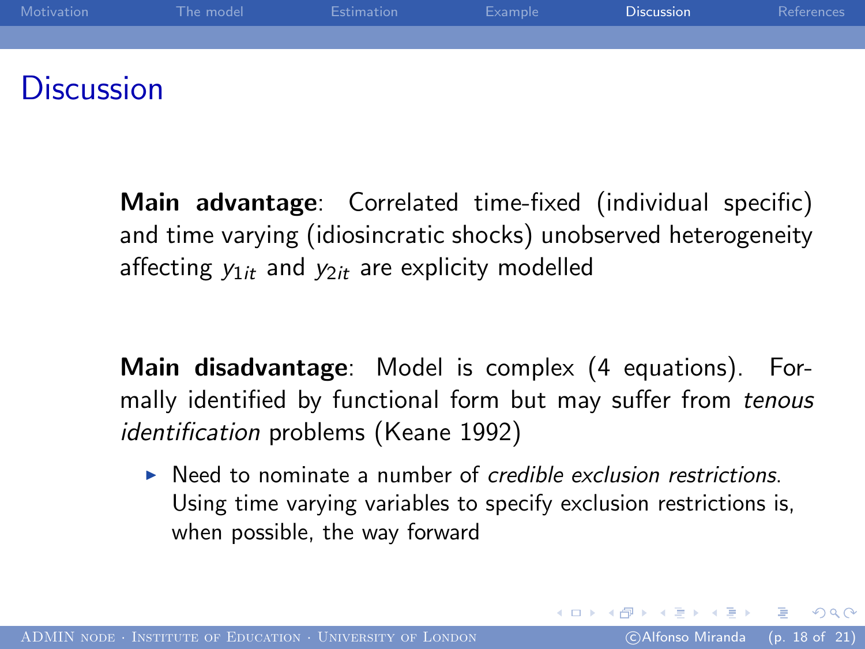

Main advantage: Correlated time-fixed (individual specific) and time varying (idiosincratic shocks) unobserved heterogeneity affecting  $y_{1it}$  and  $y_{2it}$  are explicity modelled

Main disadvantage: Model is complex (4 equations). Formally identified by functional form but may suffer from tenous identification problems (Keane 1992)

 $\triangleright$  Need to nominate a number of credible exclusion restrictions. Using time varying variables to specify exclusion restrictions is, when possible, the way forward

<span id="page-17-0"></span> $200$ 

イロメ イ母メ イヨメ イヨメーヨ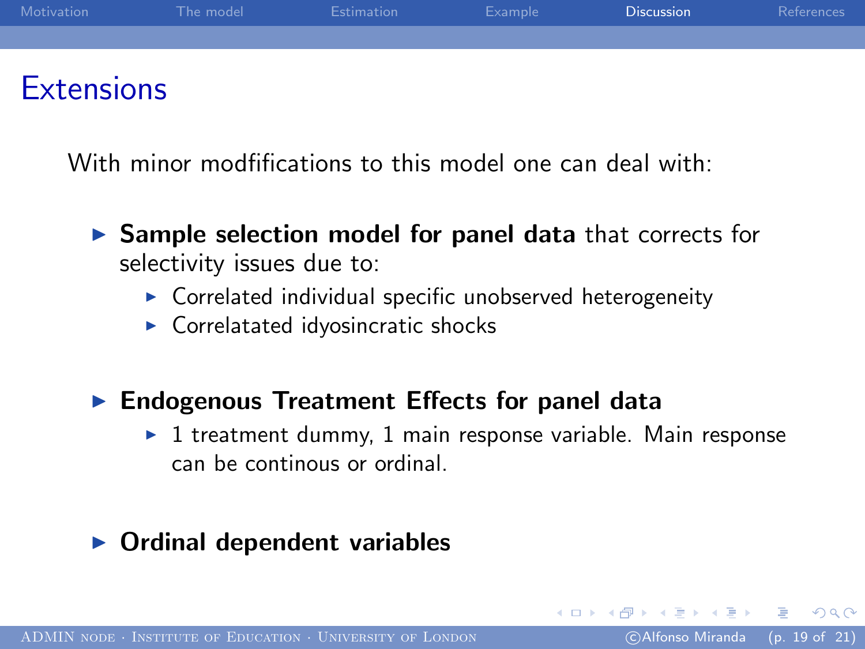

With minor modfifications to this model one can deal with:

- $\triangleright$  Sample selection model for panel data that corrects for selectivity issues due to:
	- $\triangleright$  Correlated individual specific unobserved heterogeneity
	- $\triangleright$  Correlatated idyosincratic shocks

### $\blacktriangleright$  Endogenous Treatment Effects for panel data

 $\triangleright$  1 treatment dummy, 1 main response variable. Main response can be continous or ordinal.

### Ordinal dependent variables

 $200$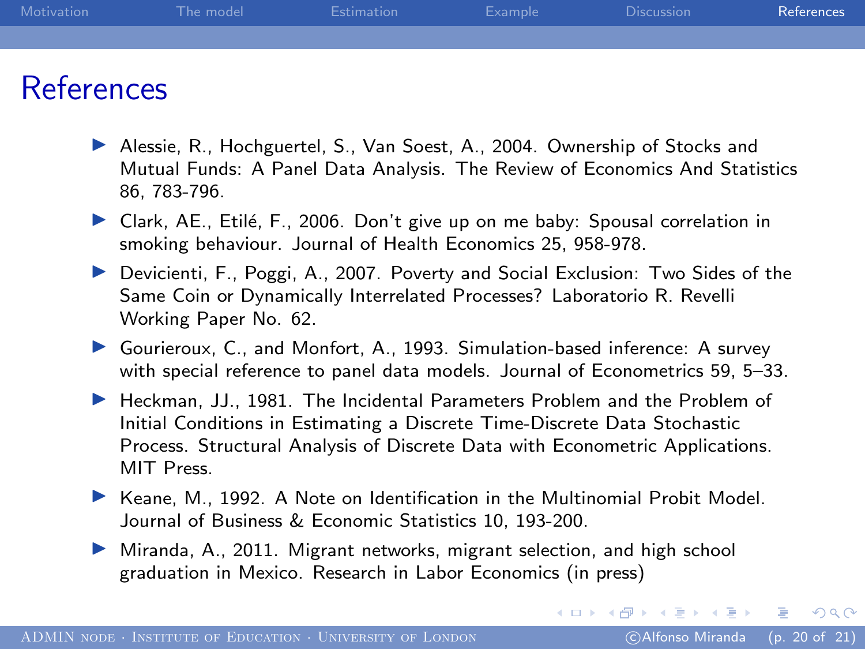| Motivation | The model | Estimation | Example | <b>Discussion</b> | References |
|------------|-----------|------------|---------|-------------------|------------|
|            |           |            |         |                   |            |
|            |           |            |         |                   |            |

### References

- ▶ Alessie, R., Hochguertel, S., Van Soest, A., 2004. Ownership of Stocks and Mutual Funds: A Panel Data Analysis. The Review of Economics And Statistics 86, 783-796.
- $\triangleright$  Clark, AE., Etilé, F., 2006. Don't give up on me baby: Spousal correlation in smoking behaviour. Journal of Health Economics 25, 958-978.
- $\triangleright$  Devicienti, F., Poggi, A., 2007. Poverty and Social Exclusion: Two Sides of the Same Coin or Dynamically Interrelated Processes? Laboratorio R. Revelli Working Paper No. 62.
- ▶ Gourieroux, C., and Monfort, A., 1993. Simulation-based inference: A survey with special reference to panel data models. Journal of Econometrics 59, 5–33.
- ▶ Heckman, JJ., 1981. The Incidental Parameters Problem and the Problem of Initial Conditions in Estimating a Discrete Time-Discrete Data Stochastic Process. Structural Analysis of Discrete Data with Econometric Applications. MIT Press.
- $\blacktriangleright$  Keane, M., 1992. A Note on Identification in the Multinomial Probit Model. Journal of Business & Economic Statistics 10, 193-200.
- $\blacktriangleright$  Miranda, A., 2011. Migrant networks, migrant selection, and high school graduation in Mexico. Research in Labor Economics (in press)

<span id="page-19-0"></span> $QQ$